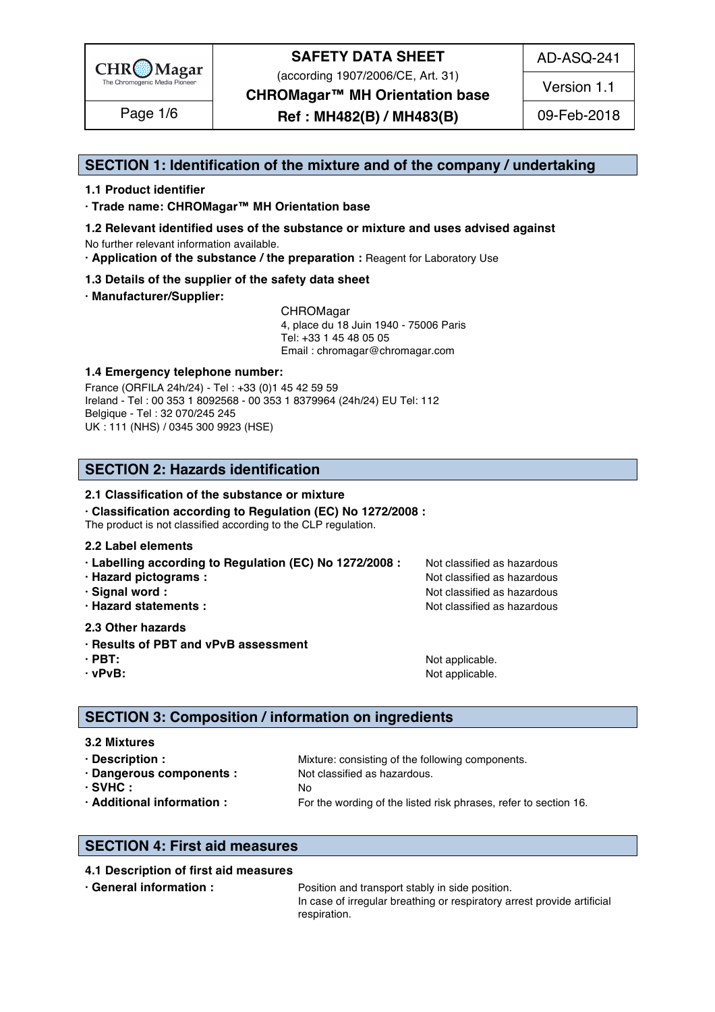

(according 1907/2006/CE, Art. 31)

AD-ASQ-241

**CHROMagar™ MH Orientation base**

**Ref : MH482(B) / MH483(B)** Page 1/6 09-Feb-2018

Version 1.1

#### **SECTION 1: Identification of the mixture and of the company / undertaking** 1

#### **1.1 Product identifier** 2

**· Trade name: CHROMagar™ MH Orientation base** 3

- **1.2 Relevant identified uses of the substance or mixture and uses advised against** 4 No further relevant information available. 5
- **· Application of the substance / the preparation :** Reagent for Laboratory Use 6

#### **1.3 Details of the supplier of the safety data sheet** 7

**· Manufacturer/Supplier:** 8

CHROMagar 9 4, place du 18 Juin 1940 - 75006 Paris 10 Tel: +33 1 45 48 05 05 11 Email : chromagar@chromagar.com 12

#### **1.4 Emergency telephone number:**  $\blacksquare$  **1.4 Emergency telephone number:**

France (ORFILA 24h/24) - Tel: +33 (0)1 45 42 59 59 Ireland - Tel: 00 353 1 8092568 - 00 353 1 8379964 (24h/24) EU Tel: 112 Belgique - Tel : 32 070/245 245 16 UK : 111 (NHS) / 0345 300 9923 (HSE) 17

#### **SECTION 2: Hazards identification** 20

#### **2.1 Classification of the substance or mixture**

**· Classification according to Regulation (EC) No 1272/2008 :** 22

The product is not classified according to the CLP regulation.

#### **2.2 Label elements** 24

- **· Labelling according to Regulation (EC) No 1272/2008 : Not classified as hazardous**
- 
- 
- 

#### **2.3 Other hazards** 29

- **· Results of PBT and vPvB assessment** 30
- 
- 

**· Hazard pictograms :** Not classified as hazardous 26 and 26 and 26 and 26 and 26 and 26 and 26 and 26 and 26 and 26 and 26 and 26 and 26 and 26 and 26 and 26 and 26 and 26 and 26 and 26 and 26 and 26 and 26 and 26 and 26 **· Signal word :** Not classified as hazardous 27 and 27 and 27 and 27 and 27 and 27 and 27 and 27 and 27 and 27 and 27 and 27 and 27 and 27 and 27 and 27 and 27 and 27 and 27 and 27 and 27 and 27 and 27 and 27 and 27 and 2 **· Hazard statements :** Not classified as hazardous 28 and 28 and 28 and 28 and 28 and 28 and 28 and 28 and 28 and 28 and 28 and 28 and 28 and 28 and 28 and 28 and 28 and 28 and 28 and 28 and 28 and 28 and 28 and 28 and 28

**· PBT:**  $\blacksquare$  **PBT:**  $\blacksquare$  **PBT:**  $\blacksquare$  **Not applicable.**  $\blacksquare$   $\blacksquare$   $\blacksquare$   $\blacksquare$   $\blacksquare$   $\blacksquare$   $\blacksquare$   $\blacksquare$   $\blacksquare$   $\blacksquare$   $\blacksquare$   $\blacksquare$   $\blacksquare$   $\blacksquare$   $\blacksquare$   $\blacksquare$   $\blacksquare$   $\blacksquare$   $\blacksquare$   $\blacksquare$   $\blacksquare$   $\blacksquare$   $\blacksquare$ **· vPvB:**  $\bullet$  **·**  $\bullet$  **122 ·**  $\bullet$  **122 ·**  $\bullet$  **·**  $\bullet$  **·**  $\bullet$  **·**  $\bullet$  **·**  $\bullet$  **·**  $\bullet$  **·**  $\bullet$  **·**  $\bullet$  **·**  $\bullet$  **·**  $\bullet$  **·**  $\bullet$  **·**  $\bullet$  **·**  $\bullet$  **·**  $\bullet$  **·**  $\bullet$  **·**  $\bullet$  **·**  $\bullet$  **·**  $\bullet$  **·**  $\bullet$  **·**  $\$ 

#### **SECTION 3: Composition / information on ingredients**

#### **3.2 Mixtures** 36

**· Description : 1988** Mixture: consisting of the following components. **· Dangerous components :** Not classified as hazardous. 388 and 288 and 288 and 288 and 288 and 288 and 288 and 288 and 288 and 288 and 288 and 288 and 288 and 288 and 288 and 288 and 288 and 288 and 288 and 288 and 288 an **· SVHC :** No 39 **· Additional information :** For the wording of the listed risk phrases, refer to section 16. 40

#### **SECTION 4: First aid measures** 43

#### **4.1 Description of first aid measures** 44

**• General information : Position and transport stably in side position.** 455 and the position of the position of the position of the position of the position of the position of the position of the position of the positi In case of irregular breathing or respiratory arrest provide artificial respiration. And the set of the set of the set of the set of the set of the set of the set of the set of the set of the set of the set of the set of the set of the set of the set of the set of the set of the set of the set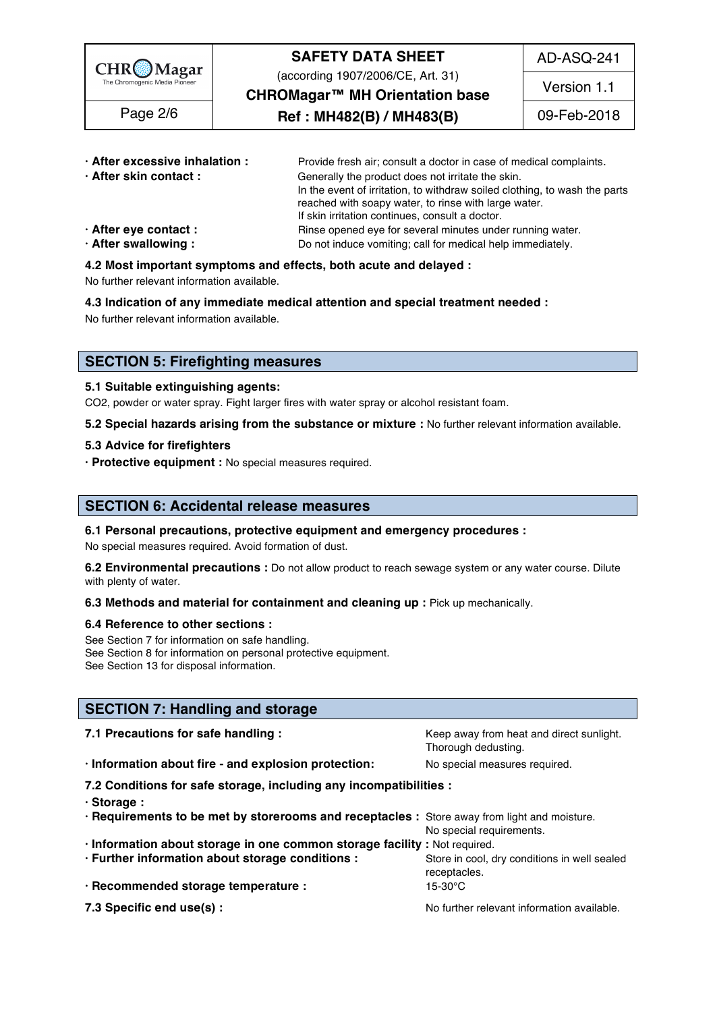

(according 1907/2006/CE, Art. 31)

AD-ASQ-241

**CHROMagar™ MH Orientation base**

Page 2/6  $\qquad$  **Ref : MH482(B) / MH483(B)** 09-Feb-2018

Version 1.1

| · After excessive inhalation : | Provide fresh air; consult a doctor in case of medical complaints.         |
|--------------------------------|----------------------------------------------------------------------------|
| · After skin contact:          | Generally the product does not irritate the skin.                          |
|                                | In the event of irritation, to withdraw soiled clothing, to wash the parts |
|                                | reached with soapy water, to rinse with large water.                       |
|                                | If skin irritation continues, consult a doctor.                            |
| $\cdot$ After eye contact :    | Rinse opened eye for several minutes under running water.                  |
| · After swallowing:            | Do not induce vomiting; call for medical help immediately.                 |

#### **4.2 Most important symptoms and effects, both acute and delayed :** 55

No further relevant information available. 56

**4.3 Indication of any immediate medical attention and special treatment needed :** 57

No further relevant information available. Superstanding the state of the state of the state of the state of the state of the state of the state of the state of the state of the state of the state of the state of the state

#### **SECTION 5: Firefighting measures**

#### **5.1 Suitable extinguishing agents:** 62

CO2, powder or water spray. Fight larger fires with water spray or alcohol resistant foam.

**5.2 Special hazards arising from the substance or mixture :** No further relevant information available. 64

#### **5.3 Advice for firefighters** 65

**· Protective equipment :** No special measures required. 66

#### **SECTION 6: Accidental release measures**

#### **6.1 Personal precautions, protective equipment and emergency procedures :** 70

No special measures required. Avoid formation of dust.

**6.2 Environmental precautions** : Do not allow product to reach sewage system or any water course. Dilute with plenty of water. The contract of the contract of the contract of the contract of the contract of the contract of the contract of the contract of the contract of the contract of the contract of the contract of the cont

#### **6.3 Methods and material for containment and cleaning up : Pick up mechanically.**

#### **6.4 Reference to other sections :** 75

See Section 7 for information on safe handling. See Section 8 for information on personal protective equipment.<br>See Section 13 for disposal information. See Section 13 for disposal information. The section of the section of the section of the section of the section of the section of the section of the section of the section of the section of the section of the section of t

#### **SECTION 7: Handling and storage**

| 7.1 Precautions for safe handling :                                                          | Keep away from heat and direct sunlight.<br>Thorough dedusting. |  |  |  |
|----------------------------------------------------------------------------------------------|-----------------------------------------------------------------|--|--|--|
| · Information about fire - and explosion protection:                                         | No special measures required.                                   |  |  |  |
| 7.2 Conditions for safe storage, including any incompatibilities :                           |                                                                 |  |  |  |
| $\cdot$ Storage:                                                                             |                                                                 |  |  |  |
| . Requirements to be met by storerooms and receptacles : Store away from light and moisture. | No special requirements.                                        |  |  |  |
| · Information about storage in one common storage facility : Not required.                   |                                                                 |  |  |  |
| · Further information about storage conditions :                                             | Store in cool, dry conditions in well sealed<br>receptacles.    |  |  |  |
| · Recommended storage temperature :                                                          | 15-30°C                                                         |  |  |  |
| 7.3 Specific end use(s) :                                                                    | No further relevant information available.                      |  |  |  |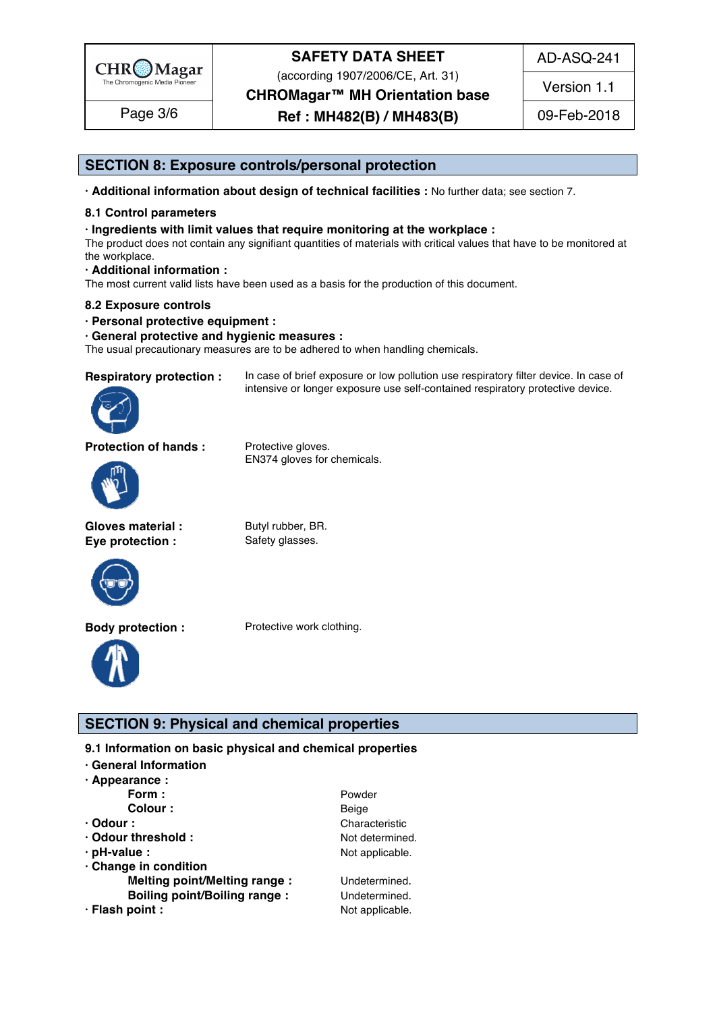

(according 1907/2006/CE, Art. 31)

**CHROMagar™ MH Orientation base**

**Ref : MH482(B) / MH483(B)** Page 3/6 09-Feb-2018

Version 1.1

AD-ASQ-241

#### **SECTION 8: Exposure controls/personal protection**

**· Additional information about design of technical facilities :** No further data; see section 7. 96

#### **8.1 Control parameters** 97

#### **· Ingredients with limit values that require monitoring at the workplace :** 98

The product does not contain any signifiant quantities of materials with critical values that have to be monitored at  $\hbox{the workplace.}$ 

intensive or longer exposure use self-contained respiratory protective device.

**· Additional information :** 101

The most current valid lists have been used as a basis for the production of this document.

#### **8.2 Exposure controls** 103

**· Personal protective equipment :** 104

#### **· General protective and hygienic measures :** 105

The usual precautionary measures are to be adhered to when handling chemicals.

**Respiratory protection :** In case of brief exposure or low pollution use respiratory filter device. In case of



**Protection of hands :** Protective gloves.



**Gloves material :** Butyl rubber, BR.

**Eye protection :** Safety glasses.

EN374 gloves for chemicals.



**Body protection :** Protective work clothing.



#### **SECTION 9: Physical and chemical properties**

**9.1 Information on basic physical and chemical properties** 

- **· General Information** 112
- **· Appearance :** 113

| Form :                              | Powder          |
|-------------------------------------|-----------------|
| Colour:                             | Beige           |
| $\cdot$ Odour :                     | Characteristic  |
| · Odour threshold:                  | Not determined. |
| $\cdot$ pH-value :                  | Not applicable. |
| Change in condition                 |                 |
| <b>Melting point/Melting range:</b> | Undetermined.   |
| <b>Boiling point/Boiling range:</b> | Undetermined.   |
| · Flash point :                     | Not applicable. |
|                                     |                 |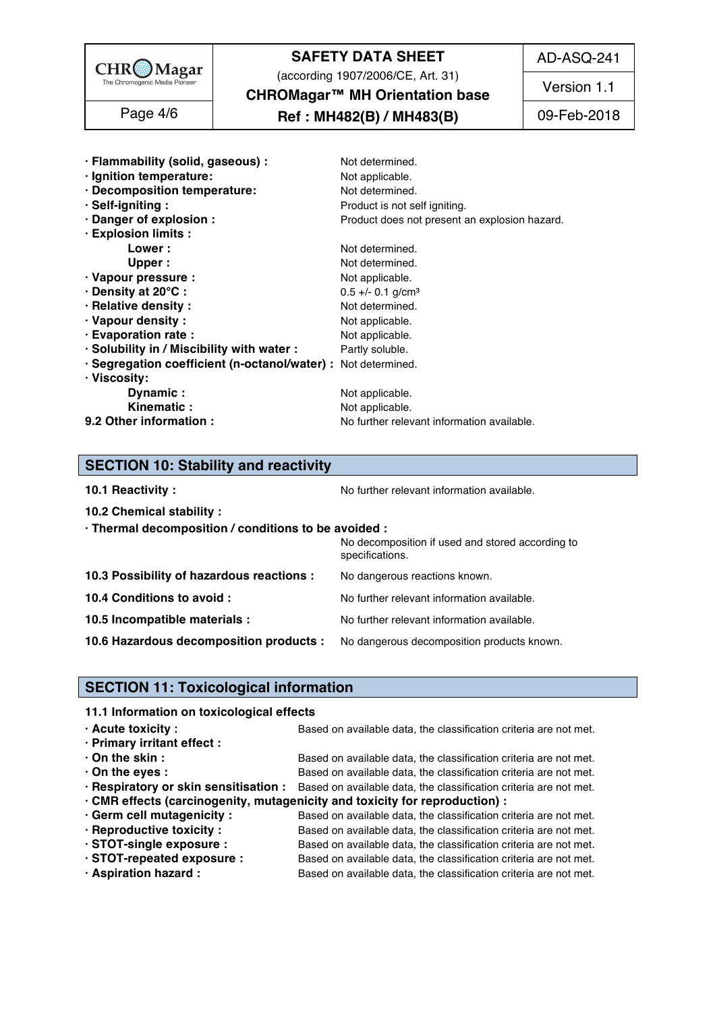

(according 1907/2006/CE, Art. 31)

AD-ASQ-241

**CHROMagar™ MH Orientation base**

#### **Ref : MH482(B) / MH483(B)** Page 4/6 09-Feb-2018

**10.2 Chemical stability :** 146

Version 1.1

| · Flammability (solid, gaseous) :                             | Not determined.                               |
|---------------------------------------------------------------|-----------------------------------------------|
|                                                               |                                               |
| · Ignition temperature:                                       | Not applicable.                               |
| · Decomposition temperature:                                  | Not determined.                               |
| · Self-igniting:                                              | Product is not self igniting.                 |
| · Danger of explosion :                                       | Product does not present an explosion hazard. |
| · Explosion limits :                                          |                                               |
| Lower :                                                       | Not determined.                               |
| Upper:                                                        | Not determined.                               |
| · Vapour pressure :                                           | Not applicable.                               |
| · Density at 20°C:                                            | $0.5 +/- 0.1$ g/cm <sup>3</sup>               |
| · Relative density :                                          | Not determined.                               |
| · Vapour density:                                             | Not applicable.                               |
| · Evaporation rate :                                          | Not applicable.                               |
| · Solubility in / Miscibility with water :                    |                                               |
|                                                               | Partly soluble.                               |
| · Segregation coefficient (n-octanol/water) : Not determined. |                                               |
| · Viscosity:                                                  |                                               |
| Dynamic:                                                      | Not applicable.                               |
| Kinematic:                                                    | Not applicable.                               |
| 9.2 Other information :                                       | No further relevant information available.    |

## **SECTION 10: Stability and reactivity**

| 10.1 Reactivity: |  |
|------------------|--|
|------------------|--|

**10.1 Reactivity :** No further relevant information available. 155.1 and the set of the set of the Norther relevant information available.

| · Thermal decomposition / conditions to be avoided :                               |                                                                     |
|------------------------------------------------------------------------------------|---------------------------------------------------------------------|
|                                                                                    | No decomposition if used and stored according to<br>specifications. |
| 10.3 Possibility of hazardous reactions :                                          | No dangerous reactions known.                                       |
| 10.4 Conditions to avoid :                                                         | No further relevant information available.                          |
| 10.5 Incompatible materials :                                                      | No further relevant information available.                          |
| 10.6 Hazardous decomposition products : No dangerous decomposition products known. |                                                                     |

#### **SECTION 11: Toxicological information**

#### **11.1 Information on toxicological effects**

| $\cdot$ Acute toxicity :                                                    | Based on available data, the classification criteria are not met.                                       |  |
|-----------------------------------------------------------------------------|---------------------------------------------------------------------------------------------------------|--|
| · Primary irritant effect :                                                 |                                                                                                         |  |
| $\cdot$ On the skin :                                                       | Based on available data, the classification criteria are not met.                                       |  |
| $\cdot$ On the eyes :                                                       | Based on available data, the classification criteria are not met.                                       |  |
|                                                                             | . Respiratory or skin sensitisation : Based on available data, the classification criteria are not met. |  |
| · CMR effects (carcinogenity, mutagenicity and toxicity for reproduction) : |                                                                                                         |  |
| Germ cell mutagenicity:                                                     | Based on available data, the classification criteria are not met.                                       |  |
| · Reproductive toxicity :                                                   | Based on available data, the classification criteria are not met.                                       |  |
| · STOT-single exposure :                                                    | Based on available data, the classification criteria are not met.                                       |  |
| · STOT-repeated exposure :                                                  | Based on available data, the classification criteria are not met.                                       |  |
| · Aspiration hazard:                                                        | Based on available data, the classification criteria are not met.                                       |  |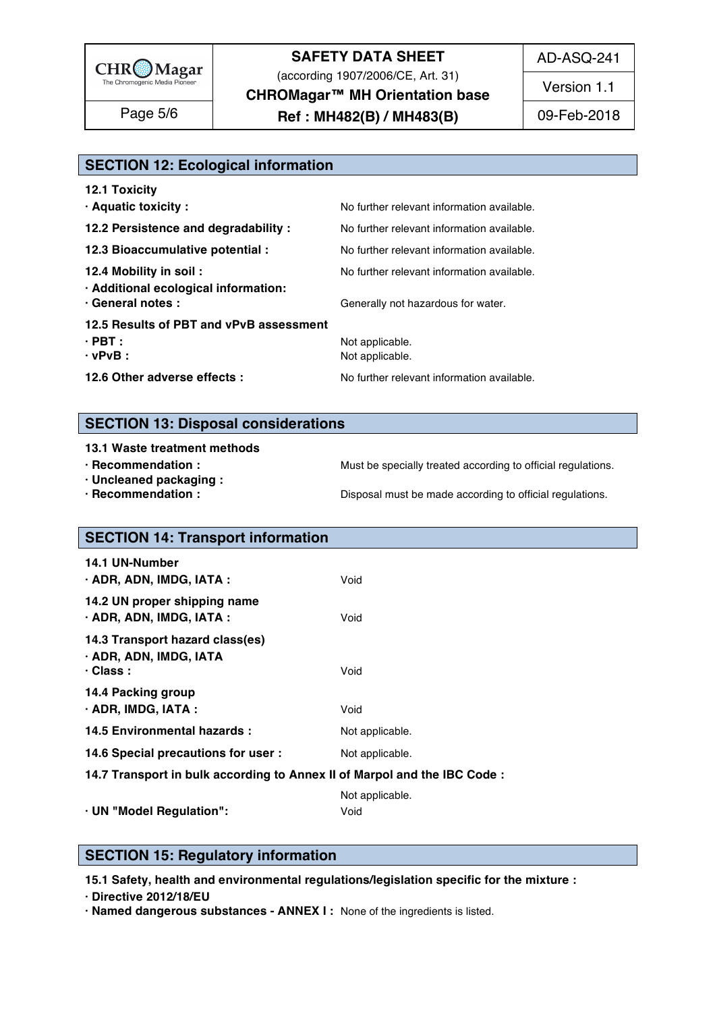

(according 1907/2006/CE, Art. 31)

AD-ASQ-241

**CHROMagar™ MH Orientation base**

**Ref : MH482(B) / MH483(B)** Page 5/6 09-Feb-2018

Version 1.1

| Page 5/6 |  |  |
|----------|--|--|
|          |  |  |

#### **SECTION 12: Ecological information**

| <b>12.1 Toxicity</b>                                           |                                            |
|----------------------------------------------------------------|--------------------------------------------|
| · Aquatic toxicity :                                           | No further relevant information available. |
| 12.2 Persistence and degradability :                           | No further relevant information available. |
| 12.3 Bioaccumulative potential :                               | No further relevant information available. |
| 12.4 Mobility in soil:<br>· Additional ecological information: | No further relevant information available. |
| · General notes :                                              | Generally not hazardous for water.         |
| 12.5 Results of PBT and vPvB assessment                        |                                            |
| $\cdot$ PBT :                                                  | Not applicable.                            |
| $\cdot$ vPvB :                                                 | Not applicable.                            |
| 12.6 Other adverse effects :                                   | No further relevant information available. |
|                                                                |                                            |

#### **SECTION 13: Disposal considerations**

#### **13.1 Waste treatment methods in a straight straight straight straight straight straight straight straight straight straight straight straight straight straight straight straight straight straight straight straight straigh**

- 
- **· Uncleaned packaging :** 189
- 

**· Recommendation : Must be specially treated according to official regulations.** 

**· Recommendation : Disposal must be made according to official regulations.** 

# **SECTION 14: Transport information**

| <b>14.1 UN-Number</b><br>· ADR, ADN, IMDG, IATA :                            | Void            |
|------------------------------------------------------------------------------|-----------------|
| 14.2 UN proper shipping name<br>$\cdot$ ADR, ADN, IMDG, IATA :               | Void            |
| 14.3 Transport hazard class(es)<br>· ADR, ADN, IMDG, IATA<br>$\cdot$ Class : | Void            |
| 14.4 Packing group<br>$\cdot$ ADR, IMDG, IATA :                              | Void            |
| 14.5 Environmental hazards :                                                 | Not applicable. |
| 14.6 Special precautions for user :                                          | Not applicable. |
| 14.7 Transport in bulk according to Annex II of Marpol and the IBC Code:     |                 |

Not applicable. 206 and 206 and 206 and 206 and 206 and 206 and 206 and 206 and 206 and 206 and 206 and 206 and **· UN "Model Regulation":** Void 207

#### **SECTION 15: Regulatory information**

**15.1 Safety, health and environmental regulations/legislation specific for the mixture :** 211

**· Directive 2012/18/EU** 212

**· Named dangerous substances - ANNEX I :** None of the ingredients is listed. 213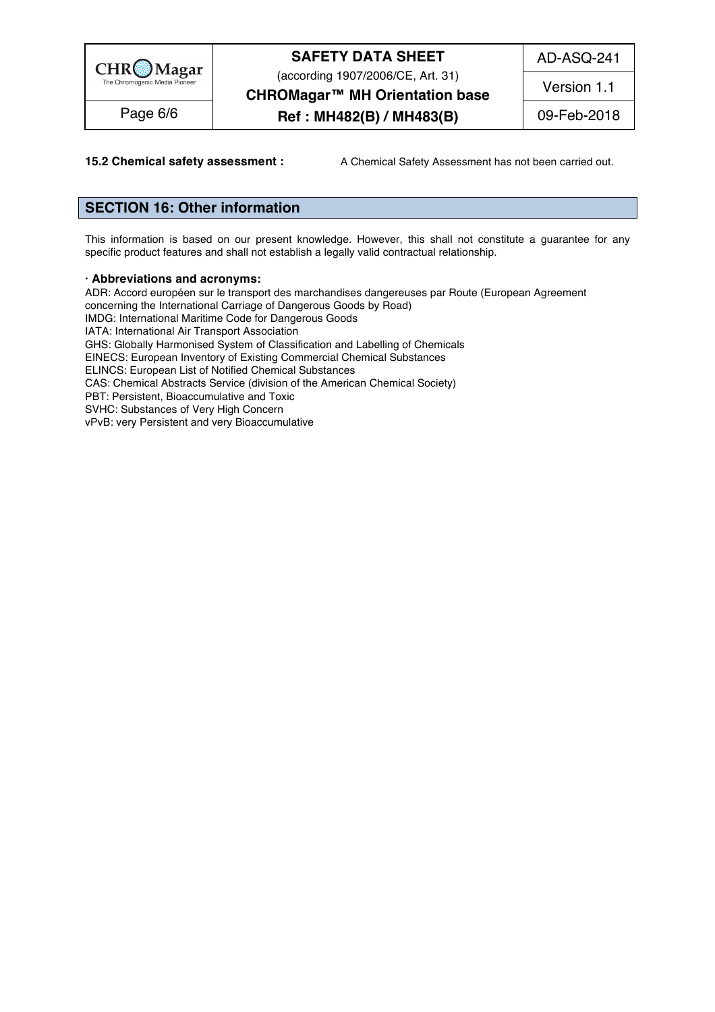

(according 1907/2006/CE, Art. 31)

AD-ASQ-241

**CHROMagar™ MH Orientation base**

**Ref : MH482(B) / MH483(B)** Page 6/6 09-Feb-2018

Version 1.1

**15.2 Chemical safety assessment :** A Chemical Safety Assessment has not been carried out.

#### **SECTION 16: Other information** 217

This information is based on our present knowledge. However, this shall not constitute a guarantee for any specific product features and shall not establish a legally valid contractual relationship.

#### **· Abbreviations and acronyms:** 222

ADR: Accord européen sur le transport des marchandises dangereuses par Route (European Agreement concerning the International Carriage of Dangerous Goods by Road) IMDG: International Maritime Code for Dangerous Goods<br>IATA: International Air Transport Association IATA: International Air Transport Association 226 GHS: Globally Harmonised System of Classification and Labelling of Chemicals EINECS: European Inventory of Existing Commercial Chemical Substances ELINCS: European List of Notified Chemical Substances CAS: Chemical Abstracts Service (division of the American Chemical Society) PBT: Persistent, Bioaccumulative and Toxic 2313 And 2313 And 2313 And 2313 And 2313 And 2313 And 2313 And 2313 SVHC: Substances of Very High Concern 232 vPvB: very Persistent and very Bioaccumulative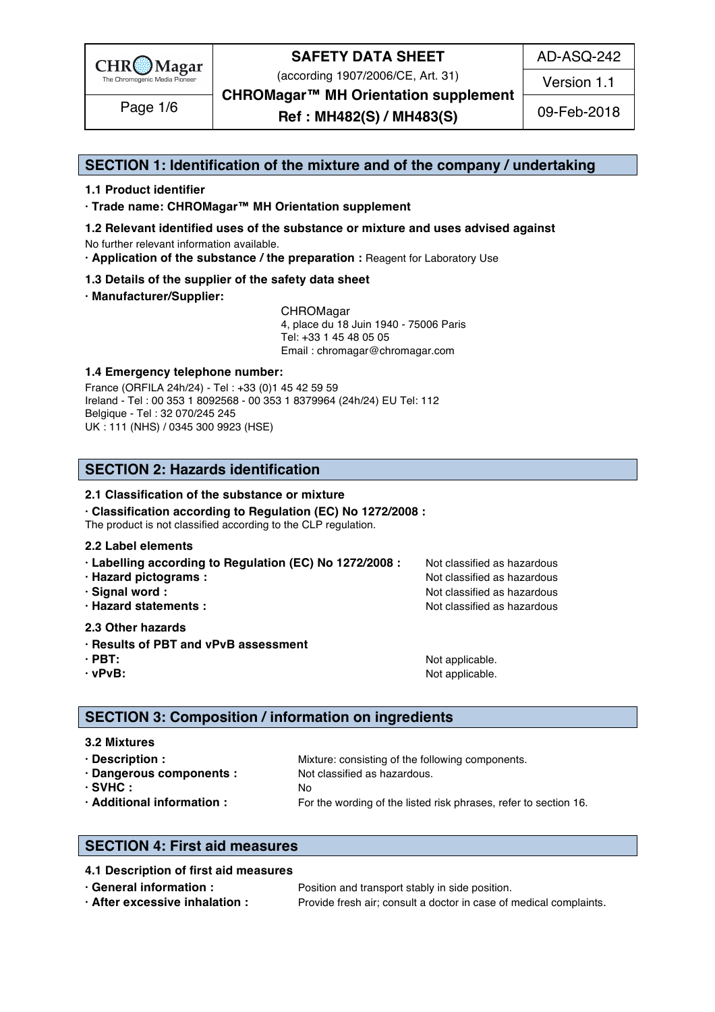

(according 1907/2006/CE, Art. 31)

AD-ASQ-242

Version 1.1

**CHROMagar™ MH Orientation supplement**

Page 1/6 **Ref : MH482(S) / MH483(S)** 09-Feb-2018

#### **SECTION 1: Identification of the mixture and of the company / undertaking** 1

#### **1.1 Product identifier** 2

**· Trade name: CHROMagar™ MH Orientation supplement** 3

- **1.2 Relevant identified uses of the substance or mixture and uses advised against** 4 No further relevant information available. 5
- **· Application of the substance / the preparation :** Reagent for Laboratory Use 6

#### **1.3 Details of the supplier of the safety data sheet** 7

**· Manufacturer/Supplier:** 8

CHROMagar 9 4, place du 18 Juin 1940 - 75006 Paris 10 Tel: +33 1 45 48 05 05 11 11 12 11 12 11 12 11 12 11 12 11 12 11 12 11 12 11 12 11 12 11 12 11 12 11 12 11 12 Email : chromagar@chromagar.com 12

#### **1.4 Emergency telephone number:**  $\blacksquare$  **1.4 Emergency telephone number:**

France (ORFILA 24h/24) - Tel: +33 (0)1 45 42 59 59 Ireland - Tel: 00 353 1 8092568 - 00 353 1 8379964 (24h/24) EU Tel: 112 Belgique - Tel : 32 070/245 245 16 UK : 111 (NHS) / 0345 300 9923 (HSE) 17

#### **SECTION 2: Hazards identification** 20

#### **2.1 Classification of the substance or mixture** 21

**· Classification according to Regulation (EC) No 1272/2008 :** 22

The product is not classified according to the CLP regulation.

#### **2.2 Label elements** 24

- **· Labelling according to Regulation (EC) No 1272/2008 : Not classified as hazardous**
- 
- 
- 

#### **2.3 Other hazards** 29

- **· Results of PBT and vPvB assessment** 30
- 
- 

**· Hazard pictograms :** Not classified as hazardous 26 and 26 and 26 and 26 and 26 and 26 and 26 and 26 and 26 and 26 and 26 and 26 and 26 and 26 and 26 and 26 and 26 and 26 and 26 and 26 and 26 and 26 and 26 and 26 and 26 **· Signal word :** Not classified as hazardous 27 and 27 and 27 and 27 and 27 and 27 and 27 and 27 and 27 and 27 and 27 and 27 and 27 and 27 and 27 and 27 and 27 and 27 and 27 and 27 and 27 and 27 and 27 and 27 and 27 and 2 **· Hazard statements :** Not classified as hazardous 28 and 28 and 28 and 28 and 28 and 28 and 28 and 28 and 28 and 28 and 28 and 28 and 28 and 28 and 28 and 28 and 28 and 28 and 28 and 28 and 28 and 28 and 28 and 28 and 28

**· PBT:**  $\blacksquare$  **PBT:**  $\blacksquare$  **PBT:**  $\blacksquare$  **Not applicable.**  $\blacksquare$   $\blacksquare$   $\blacksquare$   $\blacksquare$   $\blacksquare$   $\blacksquare$   $\blacksquare$   $\blacksquare$   $\blacksquare$   $\blacksquare$   $\blacksquare$   $\blacksquare$   $\blacksquare$   $\blacksquare$   $\blacksquare$   $\blacksquare$   $\blacksquare$   $\blacksquare$   $\blacksquare$   $\blacksquare$   $\blacksquare$   $\blacksquare$   $\blacksquare$ **· vPvB:**  $\bullet$  **·**  $\bullet$  **122 ·**  $\bullet$  **122 ·**  $\bullet$  **·**  $\bullet$  **·**  $\bullet$  **·**  $\bullet$  **·**  $\bullet$  **·**  $\bullet$  **·**  $\bullet$  **·**  $\bullet$  **·**  $\bullet$  **·**  $\bullet$  **·**  $\bullet$  **·**  $\bullet$  **·**  $\bullet$  **·**  $\bullet$  **·**  $\bullet$  **·**  $\bullet$  **·**  $\bullet$  **·**  $\bullet$  **·**  $\bullet$  **·**  $\$ 

#### **SECTION 3: Composition / information on ingredients**

#### **3.2 Mixtures** 36

**· Description : 1988** Mixture: consisting of the following components. **· Dangerous components :** Not classified as hazardous. 388 and 288 and 288 and 288 and 288 and 288 and 288 and 288 and 288 and 288 and 288 and 288 and 288 and 288 and 288 and 288 and 288 and 288 and 288 and 288 and 288 an **· SVHC :** No 39 **· Additional information :** For the wording of the listed risk phrases, refer to section 16. 40

#### **SECTION 4: First aid measures** 43

#### **4.1 Description of first aid measures** 44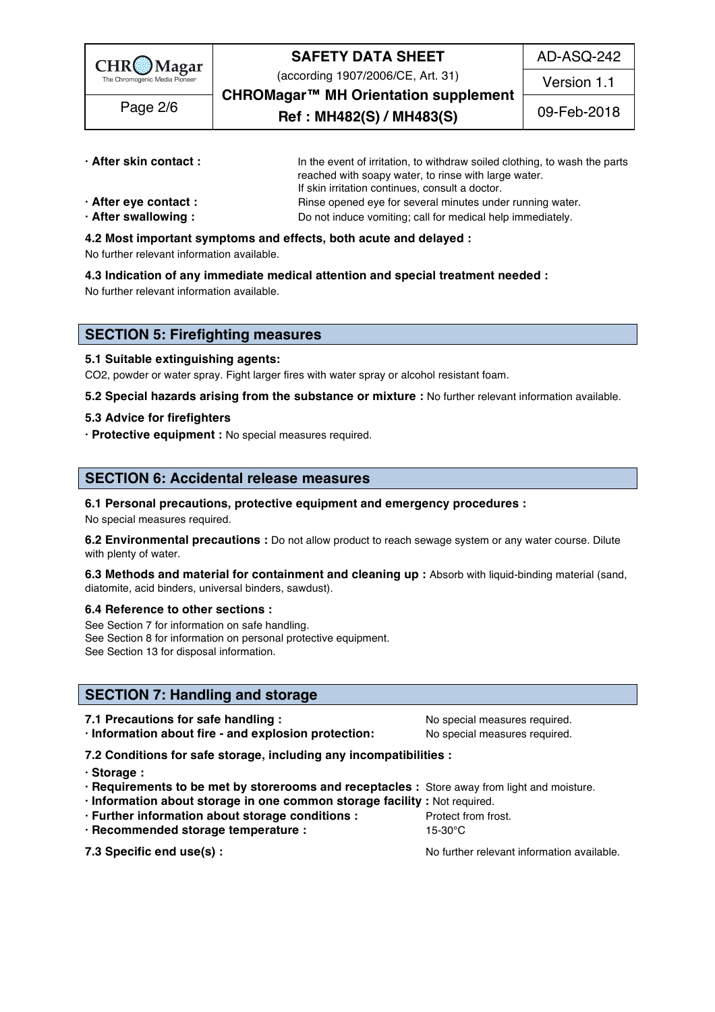

(according 1907/2006/CE, Art. 31)

AD-ASQ-242

Version 1.1

**CHROMagar™ MH Orientation supplement** Page 2/6 **Ref** : MH482(S) / MH483(S) 09-Feb-2018

| · After skin contact: | In the event of irritation, to withdraw soiled clothing, to wash the parts |  |  |
|-----------------------|----------------------------------------------------------------------------|--|--|
|                       | reached with soapy water, to rinse with large water.                       |  |  |
|                       | If skin irritation continues, consult a doctor.                            |  |  |
| · After eye contact : | Rinse opened eye for several minutes under running water.                  |  |  |

- 
- **· After swallowing :** Do not induce vomiting; call for medical help immediately.
- **4.2 Most important symptoms and effects, both acute and delayed :** 52

No further relevant information available. Some relationships are settled as a state of the state of the state o

**4.3 Indication of any immediate medical attention and special treatment needed :** 54

No further relevant information available. 55

#### **SECTION 5: Firefighting measures**

#### **5.1 Suitable extinguishing agents:** 59

CO2, powder or water spray. Fight larger fires with water spray or alcohol resistant foam.

**5.2 Special hazards arising from the substance or mixture :** No further relevant information available. 61

#### **5.3 Advice for firefighters** 62

**· Protective equipment :** No special measures required. 63

#### **SECTION 6: Accidental release measures**

**6.1 Personal precautions, protective equipment and emergency procedures :** 67 No special measures required. 68

**6.2 Environmental precautions** : Do not allow product to reach sewage system or any water course. Dilute with plenty of water. The contract of the contract of the contract of the contract of the contract of the contract of the contract of the contract of the contract of the contract of the contract of the contract of the cont

**6.3 Methods and material for containment and cleaning up : Absorb with liquid-binding material (sand,** diatomite, acid binders, universal binders, sawdust).

#### **6.4 Reference to other sections :** 73

See Section 7 for information on safe handling. The section of the section of the section of the section of the section of the section of the section of the section of the section of the section of the section of the secti See Section 8 for information on personal protective equipment. See Section 13 for disposal information. The section of the section of the section of the section of the section of the section of the section of the section of the section of the section of the section of the section of t

#### **SECTION 7: Handling and storage**

**7.1 Precautions for safe handling :**  $\qquad \qquad \text{No special measures required.}$ 

**· Information about fire - and explosion protection:** No special measures required. 81

- **7.2 Conditions for safe storage, including any incompatibilities :** 82
- **· Storage :** 83
- **· Requirements to be met by storerooms and receptacles :** Store away from light and moisture. 84
- **· Information about storage in one common storage facility :** Not required. 85
- **· Further information about storage conditions :** Protect from frost. 86
- **· Recommended storage temperature :** 15-30°C 87

**7.3 Specific end use(s) : No further relevant information available.** 88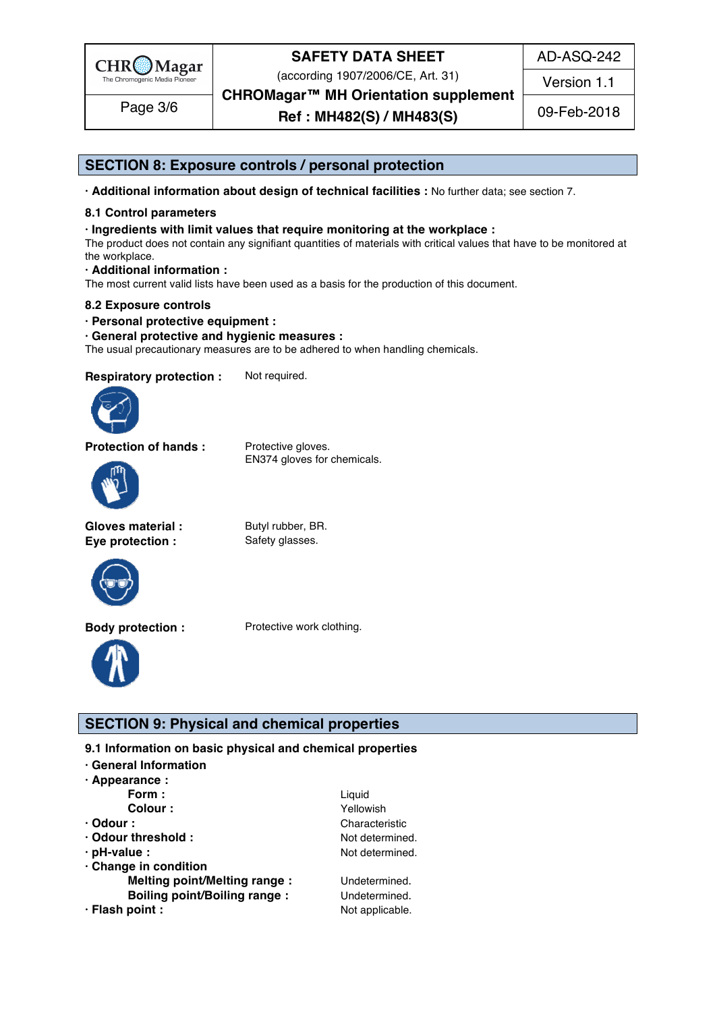

(according 1907/2006/CE, Art. 31)

**CHROMagar™ MH Orientation supplement**

Page 3/6 **Ref** : **MH482(S) / MH483(S)** 09-Feb-2018

AD-ASQ-242

Version 1.1

#### **SECTION 8: Exposure controls / personal protection**

**· Additional information about design of technical facilities :** No further data; see section 7. 94

#### **8.1 Control parameters** 95

#### **· Ingredients with limit values that require monitoring at the workplace :** 96

The product does not contain any signifiant quantities of materials with critical values that have to be monitored at the workplace. 98

#### **· Additional information :** 99

The most current valid lists have been used as a basis for the production of this document.

#### **8.2 Exposure controls** 101

**· Personal protective equipment :** 102

#### **· General protective and hygienic measures :** 103

The usual precautionary measures are to be adhered to when handling chemicals.

**Respiratory protection :** Not required.



**Protection of hands :** Protective gloves.

EN374 gloves for chemicals.



**Gloves material :** Butyl rubber, BR. **Eye protection :** Safety glasses.



**Body protection :** Protective work clothing.



#### **SECTION 9: Physical and chemical properties**

**9.1 Information on basic physical and chemical properties** 

- **· General Information** 110
- **· Appearance :** 111

|                                     | Liquid          |
|-------------------------------------|-----------------|
| Form :<br>Colour :                  | Yellowish       |
| $\cdot$ Odour :                     | Characteristic  |
| · Odour threshold:                  | Not determined. |
| $\cdot$ pH-value :                  | Not determined. |
| Change in condition                 |                 |
| <b>Melting point/Melting range:</b> | Undetermined.   |
| <b>Boiling point/Boiling range:</b> | Undetermined.   |
| · Flash point :                     | Not applicable. |
|                                     |                 |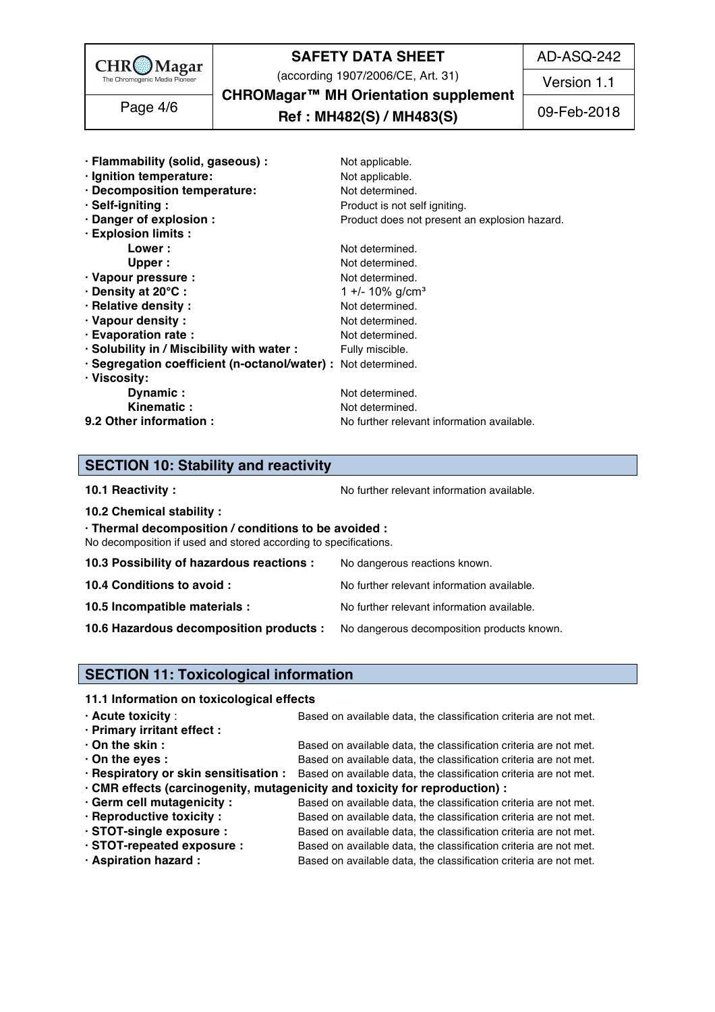

(according 1907/2006/CE, Art. 31)

AD-ASQ-242

Version 1.1

**CHROMagar™ MH Orientation supplement** Page 4/6 **Ref : MH482(S) / MH483(S)** 09-Feb-2018

| · Flammability (solid, gaseous) :                             | Not applicable.                               |
|---------------------------------------------------------------|-----------------------------------------------|
| · Ignition temperature:                                       | Not applicable.                               |
| · Decomposition temperature:                                  | Not determined.                               |
| · Self-igniting:                                              | Product is not self igniting.                 |
| · Danger of explosion :                                       | Product does not present an explosion hazard. |
| · Explosion limits :                                          |                                               |
| Lower :                                                       | Not determined.                               |
| Upper:                                                        | Not determined.                               |
| · Vapour pressure :                                           | Not determined.                               |
| · Density at 20°C :                                           | 1 +/- 10% g/cm <sup>3</sup>                   |
| · Relative density :                                          | Not determined.                               |
| · Vapour density:                                             | Not determined.                               |
| · Evaporation rate :                                          | Not determined.                               |
| · Solubility in / Miscibility with water :                    | Fully miscible.                               |
| · Segregation coefficient (n-octanol/water) : Not determined. |                                               |
| · Viscosity:                                                  |                                               |
| Dynamic:                                                      | Not determined.                               |
| Kinematic:                                                    |                                               |
|                                                               | Not determined.                               |

#### **SECTION 10: Stability and reactivity**

**10.1 Reactivity :** No further relevant information available. 153.1 and the set of the set of the Norther relevant information available.

**10.2 Chemical stability :** 144

**· Thermal decomposition / conditions to be avoided :** 145

No decomposition if used and stored according to specifications.

| 10.3 Possibility of hazardous reactions :                                          | No dangerous reactions known.              |
|------------------------------------------------------------------------------------|--------------------------------------------|
| 10.4 Conditions to avoid :                                                         | No further relevant information available. |
| 10.5 Incompatible materials :                                                      | No further relevant information available. |
| 10.6 Hazardous decomposition products : No dangerous decomposition products known. |                                            |

#### **SECTION 11: Toxicological information**

#### **11.1 Information on toxicological effects**

| $\cdot$ Acute toxicity :        | Based on available data, the classification criteria are not met.                                       |
|---------------------------------|---------------------------------------------------------------------------------------------------------|
| · Primary irritant effect :     |                                                                                                         |
| $\cdot$ On the skin :           | Based on available data, the classification criteria are not met.                                       |
| $\cdot$ On the eyes :           | Based on available data, the classification criteria are not met.                                       |
|                                 | · Respiratory or skin sensitisation : Based on available data, the classification criteria are not met. |
|                                 | · CMR effects (carcinogenity, mutagenicity and toxicity for reproduction) :                             |
| · Germ cell mutagenicity :      | Based on available data, the classification criteria are not met.                                       |
| $\cdot$ Reproductive toxicity : | Based on available data, the classification criteria are not met.                                       |

- 
- **· STOT-repeated exposure :** Based on available data, the classification criteria are not met.
- 

**· STOT-single exposure :** Based on available data, the classification criteria are not met. **· Aspiration hazard :** Based on available data, the classification criteria are not met.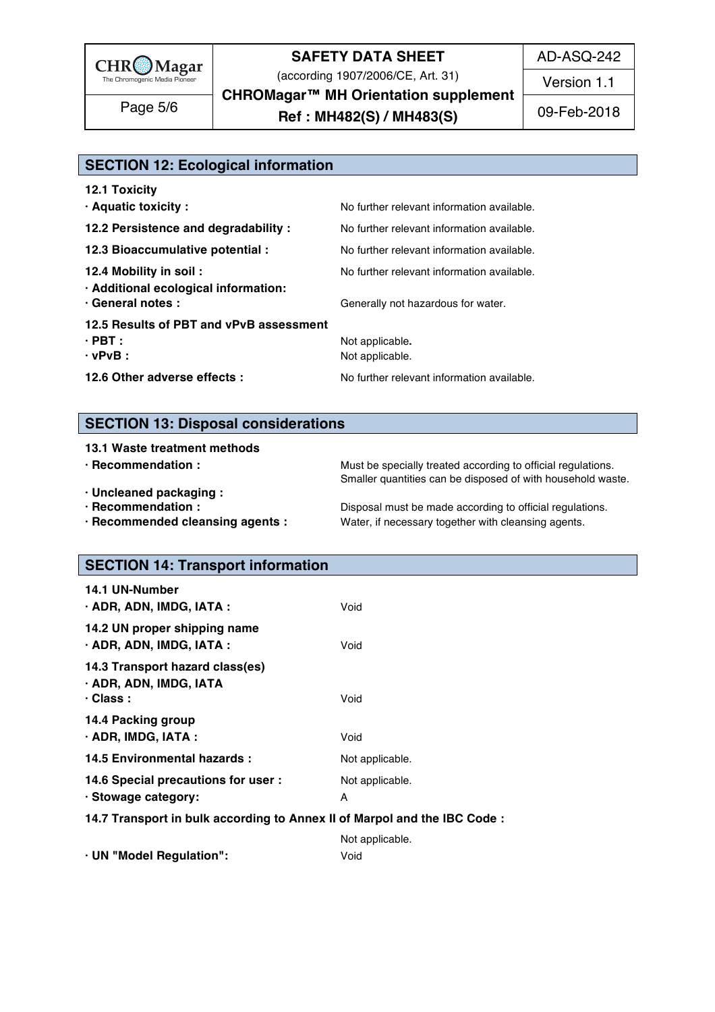

(according 1907/2006/CE, Art. 31)

AD-ASQ-242

Version 1.1

**CHROMagar™ MH Orientation supplement**

Page 5/6 **Ref : MH482(S) / MH483(S)** 09-Feb-2018

| <b>SECTION 12: Ecological information</b>                 |                                            |  |
|-----------------------------------------------------------|--------------------------------------------|--|
| <b>12.1 Toxicity</b>                                      | No further relevant information available. |  |
| · Aquatic toxicity :                                      |                                            |  |
| 12.2 Persistence and degradability :                      | No further relevant information available. |  |
| 12.3 Bioaccumulative potential :                          | No further relevant information available. |  |
| 12.4 Mobility in soil:                                    | No further relevant information available. |  |
| · Additional ecological information:<br>· General notes : | Generally not hazardous for water.         |  |
| 12.5 Results of PBT and vPvB assessment                   |                                            |  |
| $\cdot$ PBT :<br>$\cdot$ vPvB :                           | Not applicable.<br>Not applicable.         |  |
| 12.6 Other adverse effects :                              | No further relevant information available. |  |

#### **SECTION 13: Disposal considerations**

| 13.1 Waste treatment methods     |                                                              |
|----------------------------------|--------------------------------------------------------------|
| $\cdot$ Recommendation :         | Must be specially treated according to official regulations. |
|                                  | Smaller quantities can be disposed of with household waste.  |
| · Uncleaned packaging :          |                                                              |
| · Recommendation :               | Disposal must be made according to official regulations.     |
| · Recommended cleansing agents : | Water, if necessary together with cleansing agents.          |

# **SECTION 14: Transport information**

| <b>14.1 UN-Number</b><br>· ADR, ADN, IMDG, IATA :                            | Void                    |
|------------------------------------------------------------------------------|-------------------------|
| 14.2 UN proper shipping name<br>· ADR, ADN, IMDG, IATA :                     | Void                    |
| 14.3 Transport hazard class(es)<br>· ADR, ADN, IMDG, IATA<br>$\cdot$ Class : | Void                    |
| 14.4 Packing group<br>$\cdot$ ADR, IMDG, IATA :                              | Void                    |
| 14.5 Environmental hazards :                                                 | Not applicable.         |
| 14.6 Special precautions for user :<br>· Stowage category:                   | Not applicable.         |
| 14.7 Transport in bulk according to Annex II of Marpol and the IBC Code :    |                         |
| · UN "Model Regulation":                                                     | Not applicable.<br>Void |
|                                                                              |                         |